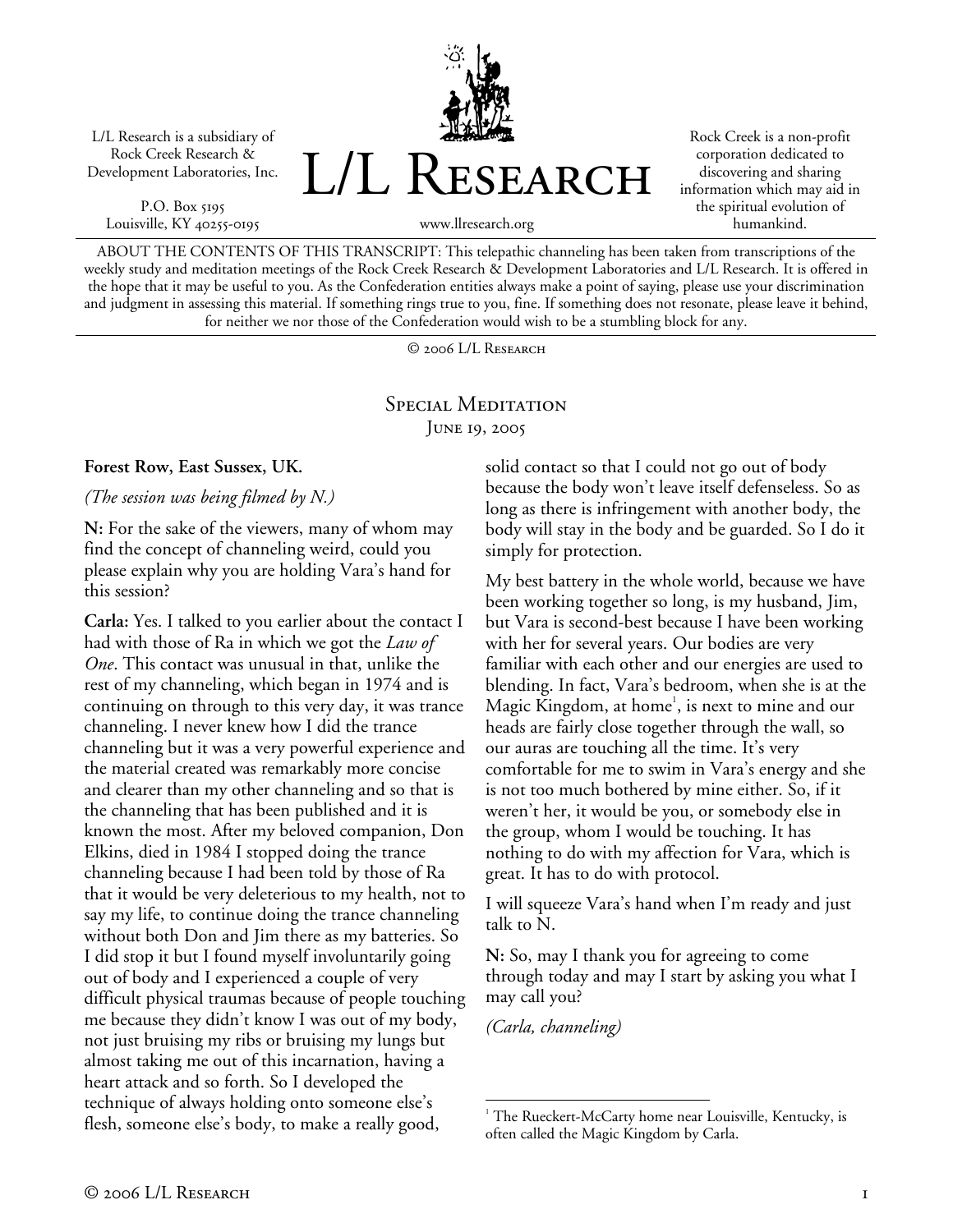L/L Research is a subsidiary of Rock Creek Research & Development Laboratories, Inc.

P.O. Box 5195 Louisville, KY 40255-0195



Rock Creek is a non-profit corporation dedicated to discovering and sharing information which may aid in the spiritual evolution of humankind.

www.llresearch.org

ABOUT THE CONTENTS OF THIS TRANSCRIPT: This telepathic channeling has been taken from transcriptions of the weekly study and meditation meetings of the Rock Creek Research & Development Laboratories and L/L Research. It is offered in the hope that it may be useful to you. As the Confederation entities always make a point of saying, please use your discrimination and judgment in assessing this material. If something rings true to you, fine. If something does not resonate, please leave it behind, for neither we nor those of the Confederation would wish to be a stumbling block for any.

© 2006 L/L Research

## SPECIAL MEDITATION June 19, 2005

## **Forest Row, East Sussex, UK.**

*(The session was being filmed by N.)* 

**N:** For the sake of the viewers, many of whom may find the concept of channeling weird, could you please explain why you are holding Vara's hand for this session?

**Carla:** Yes. I talked to you earlier about the contact I had with those of Ra in which we got the *Law of One*. This contact was unusual in that, unlike the rest of my channeling, which began in 1974 and is continuing on through to this very day, it was trance channeling. I never knew how I did the trance channeling but it was a very powerful experience and the material created was remarkably more concise and clearer than my other channeling and so that is the channeling that has been published and it is known the most. After my beloved companion, Don Elkins, died in 1984 I stopped doing the trance channeling because I had been told by those of Ra that it would be very deleterious to my health, not to say my life, to continue doing the trance channeling without both Don and Jim there as my batteries. So I did stop it but I found myself involuntarily going out of body and I experienced a couple of very difficult physical traumas because of people touching me because they didn't know I was out of my body, not just bruising my ribs or bruising my lungs but almost taking me out of this incarnation, having a heart attack and so forth. So I developed the technique of always holding onto someone else's flesh, someone else's body, to make a really good,

solid contact so that I could not go out of body because the body won't leave itself defenseless. So as long as there is infringement with another body, the body will stay in the body and be guarded. So I do it simply for protection.

My best battery in the whole world, because we have been working together so long, is my husband, Jim, but Vara is second-best because I have been working with her for several years. Our bodies are very familiar with each other and our energies are used to blending. In fact, Vara's bedroom, when she is at the Magic Kingdom, at home $^{\rm l}$ , is next to mine and our heads are fairly close together through the wall, so our auras are touching all the time. It's very comfortable for me to swim in Vara's energy and she is not too much bothered by mine either. So, if it weren't her, it would be you, or somebody else in the group, whom I would be touching. It has nothing to do with my affection for Vara, which is great. It has to do with protocol.

I will squeeze Vara's hand when I'm ready and just talk to N.

**N:** So, may I thank you for agreeing to come through today and may I start by asking you what I may call you?

*(Carla, channeling)* 

 $\overline{a}$ <sup>1</sup> The Rueckert-McCarty home near Louisville, Kentucky, is often called the Magic Kingdom by Carla.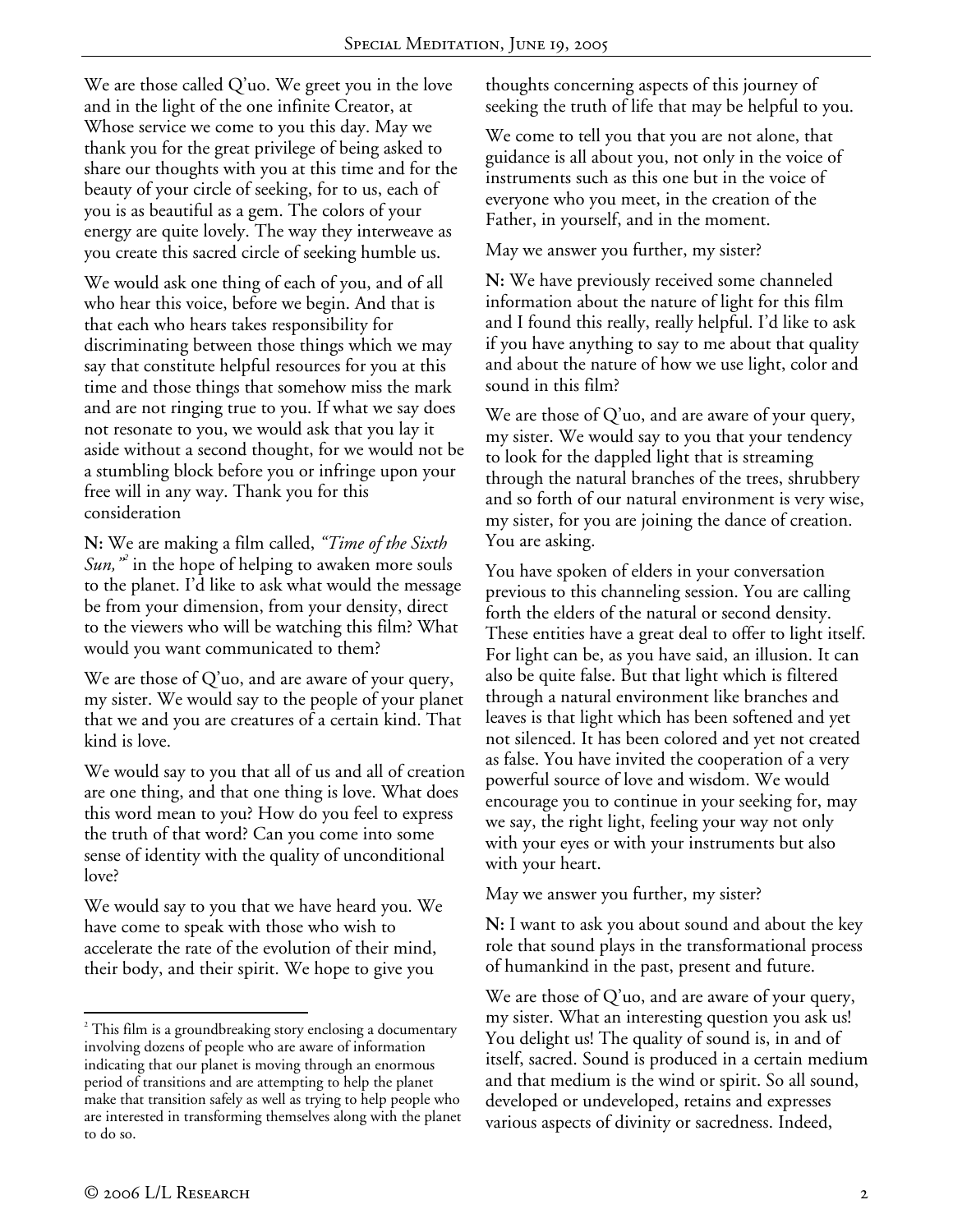We are those called Q'uo. We greet you in the love and in the light of the one infinite Creator, at Whose service we come to you this day. May we thank you for the great privilege of being asked to share our thoughts with you at this time and for the beauty of your circle of seeking, for to us, each of you is as beautiful as a gem. The colors of your energy are quite lovely. The way they interweave as you create this sacred circle of seeking humble us.

We would ask one thing of each of you, and of all who hear this voice, before we begin. And that is that each who hears takes responsibility for discriminating between those things which we may say that constitute helpful resources for you at this time and those things that somehow miss the mark and are not ringing true to you. If what we say does not resonate to you, we would ask that you lay it aside without a second thought, for we would not be a stumbling block before you or infringe upon your free will in any way. Thank you for this consideration

**N:** We are making a film called, *"Time of the Sixth Sun,"<sup>2</sup>* in the hope of helping to awaken more souls to the planet. I'd like to ask what would the message be from your dimension, from your density, direct to the viewers who will be watching this film? What would you want communicated to them?

We are those of Q'uo, and are aware of your query, my sister. We would say to the people of your planet that we and you are creatures of a certain kind. That kind is love.

We would say to you that all of us and all of creation are one thing, and that one thing is love. What does this word mean to you? How do you feel to express the truth of that word? Can you come into some sense of identity with the quality of unconditional love?

We would say to you that we have heard you. We have come to speak with those who wish to accelerate the rate of the evolution of their mind, their body, and their spirit. We hope to give you

thoughts concerning aspects of this journey of seeking the truth of life that may be helpful to you.

We come to tell you that you are not alone, that guidance is all about you, not only in the voice of instruments such as this one but in the voice of everyone who you meet, in the creation of the Father, in yourself, and in the moment.

May we answer you further, my sister?

**N:** We have previously received some channeled information about the nature of light for this film and I found this really, really helpful. I'd like to ask if you have anything to say to me about that quality and about the nature of how we use light, color and sound in this film?

We are those of Q'uo, and are aware of your query, my sister. We would say to you that your tendency to look for the dappled light that is streaming through the natural branches of the trees, shrubbery and so forth of our natural environment is very wise, my sister, for you are joining the dance of creation. You are asking.

You have spoken of elders in your conversation previous to this channeling session. You are calling forth the elders of the natural or second density. These entities have a great deal to offer to light itself. For light can be, as you have said, an illusion. It can also be quite false. But that light which is filtered through a natural environment like branches and leaves is that light which has been softened and yet not silenced. It has been colored and yet not created as false. You have invited the cooperation of a very powerful source of love and wisdom. We would encourage you to continue in your seeking for, may we say, the right light, feeling your way not only with your eyes or with your instruments but also with your heart.

May we answer you further, my sister?

**N:** I want to ask you about sound and about the key role that sound plays in the transformational process of humankind in the past, present and future.

We are those of Q'uo, and are aware of your query, my sister. What an interesting question you ask us! You delight us! The quality of sound is, in and of itself, sacred. Sound is produced in a certain medium and that medium is the wind or spirit. So all sound, developed or undeveloped, retains and expresses various aspects of divinity or sacredness. Indeed,

 $\overline{a}$ 

 $2^2$  This film is a groundbreaking story enclosing a documentary involving dozens of people who are aware of information indicating that our planet is moving through an enormous period of transitions and are attempting to help the planet make that transition safely as well as trying to help people who are interested in transforming themselves along with the planet to do so.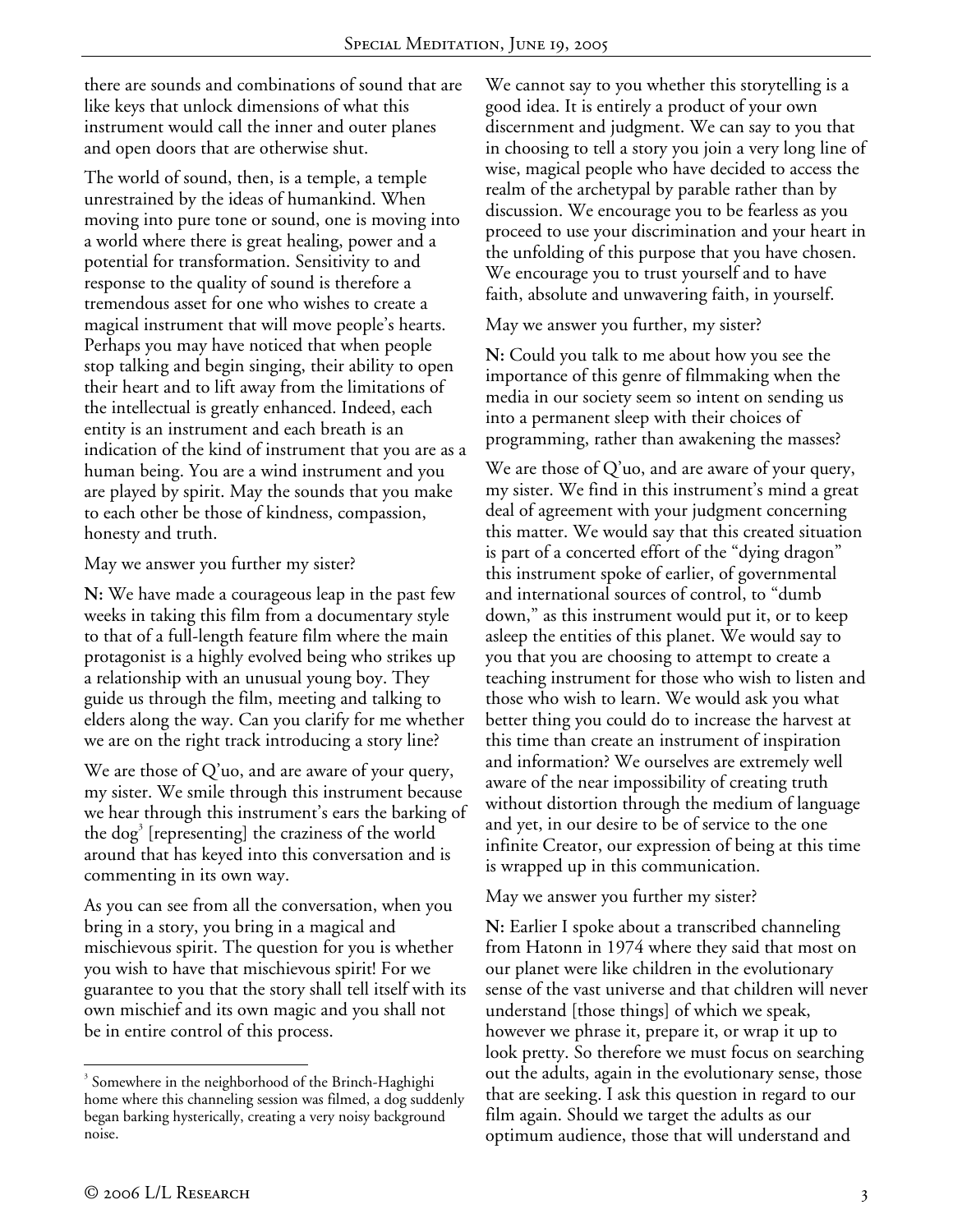there are sounds and combinations of sound that are like keys that unlock dimensions of what this instrument would call the inner and outer planes and open doors that are otherwise shut.

The world of sound, then, is a temple, a temple unrestrained by the ideas of humankind. When moving into pure tone or sound, one is moving into a world where there is great healing, power and a potential for transformation. Sensitivity to and response to the quality of sound is therefore a tremendous asset for one who wishes to create a magical instrument that will move people's hearts. Perhaps you may have noticed that when people stop talking and begin singing, their ability to open their heart and to lift away from the limitations of the intellectual is greatly enhanced. Indeed, each entity is an instrument and each breath is an indication of the kind of instrument that you are as a human being. You are a wind instrument and you are played by spirit. May the sounds that you make to each other be those of kindness, compassion, honesty and truth.

## May we answer you further my sister?

**N:** We have made a courageous leap in the past few weeks in taking this film from a documentary style to that of a full-length feature film where the main protagonist is a highly evolved being who strikes up a relationship with an unusual young boy. They guide us through the film, meeting and talking to elders along the way. Can you clarify for me whether we are on the right track introducing a story line?

We are those of Q'uo, and are aware of your query, my sister. We smile through this instrument because we hear through this instrument's ears the barking of the dog<sup>3</sup> [representing] the craziness of the world around that has keyed into this conversation and is commenting in its own way.

As you can see from all the conversation, when you bring in a story, you bring in a magical and mischievous spirit. The question for you is whether you wish to have that mischievous spirit! For we guarantee to you that the story shall tell itself with its own mischief and its own magic and you shall not be in entire control of this process.

We cannot say to you whether this storytelling is a good idea. It is entirely a product of your own discernment and judgment. We can say to you that in choosing to tell a story you join a very long line of wise, magical people who have decided to access the realm of the archetypal by parable rather than by discussion. We encourage you to be fearless as you proceed to use your discrimination and your heart in the unfolding of this purpose that you have chosen. We encourage you to trust yourself and to have faith, absolute and unwavering faith, in yourself.

May we answer you further, my sister?

**N:** Could you talk to me about how you see the importance of this genre of filmmaking when the media in our society seem so intent on sending us into a permanent sleep with their choices of programming, rather than awakening the masses?

We are those of Q'uo, and are aware of your query, my sister. We find in this instrument's mind a great deal of agreement with your judgment concerning this matter. We would say that this created situation is part of a concerted effort of the "dying dragon" this instrument spoke of earlier, of governmental and international sources of control, to "dumb down," as this instrument would put it, or to keep asleep the entities of this planet. We would say to you that you are choosing to attempt to create a teaching instrument for those who wish to listen and those who wish to learn. We would ask you what better thing you could do to increase the harvest at this time than create an instrument of inspiration and information? We ourselves are extremely well aware of the near impossibility of creating truth without distortion through the medium of language and yet, in our desire to be of service to the one infinite Creator, our expression of being at this time is wrapped up in this communication.

## May we answer you further my sister?

**N:** Earlier I spoke about a transcribed channeling from Hatonn in 1974 where they said that most on our planet were like children in the evolutionary sense of the vast universe and that children will never understand [those things] of which we speak, however we phrase it, prepare it, or wrap it up to look pretty. So therefore we must focus on searching out the adults, again in the evolutionary sense, those that are seeking. I ask this question in regard to our film again. Should we target the adults as our optimum audience, those that will understand and

 $\overline{a}$ 

<sup>&</sup>lt;sup>3</sup> Somewhere in the neighborhood of the Brinch-Haghighi home where this channeling session was filmed, a dog suddenly began barking hysterically, creating a very noisy background noise.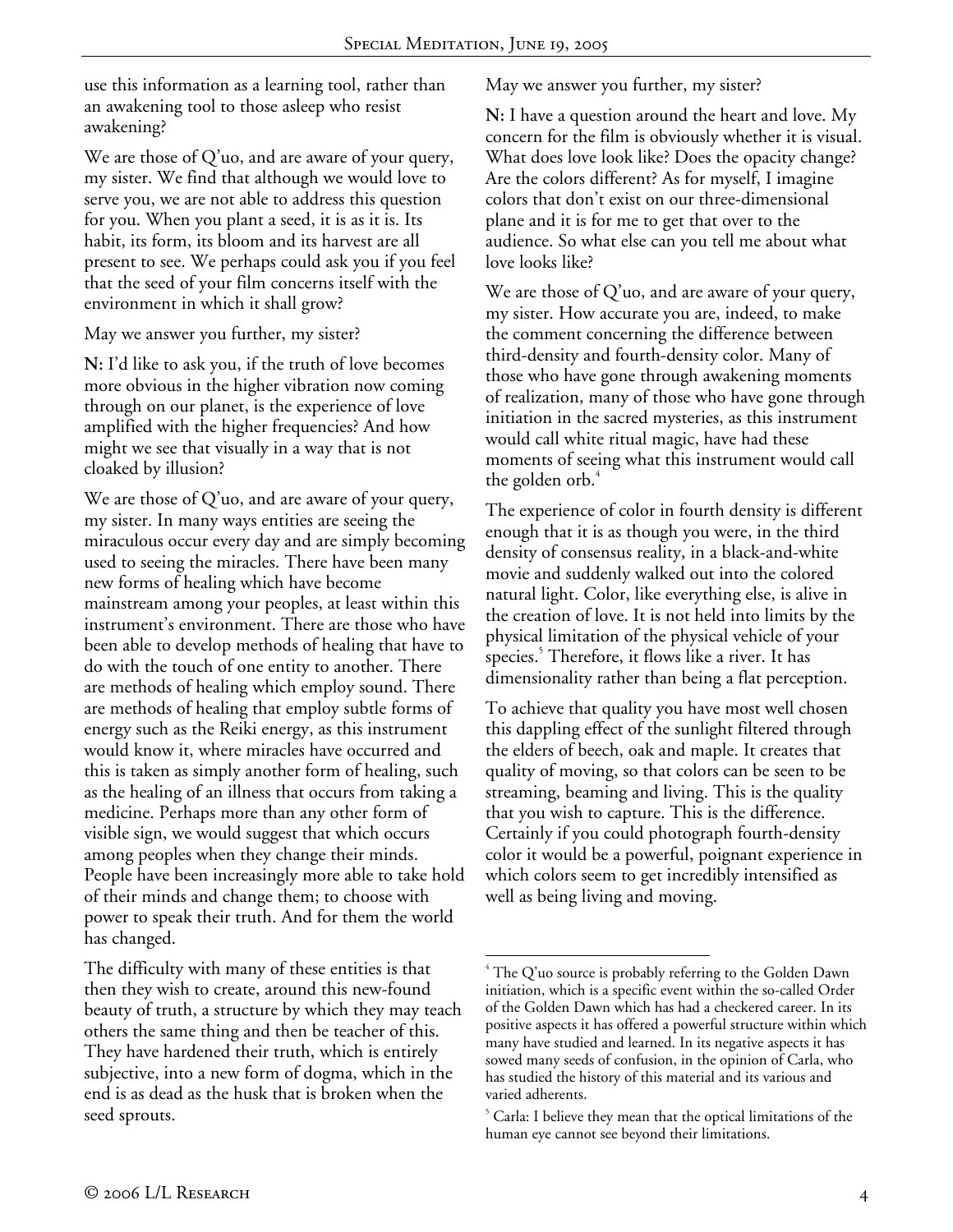$\overline{a}$ 

use this information as a learning tool, rather than an awakening tool to those asleep who resist awakening?

We are those of Q'uo, and are aware of your query, my sister. We find that although we would love to serve you, we are not able to address this question for you. When you plant a seed, it is as it is. Its habit, its form, its bloom and its harvest are all present to see. We perhaps could ask you if you feel that the seed of your film concerns itself with the environment in which it shall grow?

May we answer you further, my sister?

**N:** I'd like to ask you, if the truth of love becomes more obvious in the higher vibration now coming through on our planet, is the experience of love amplified with the higher frequencies? And how might we see that visually in a way that is not cloaked by illusion?

We are those of Q'uo, and are aware of your query, my sister. In many ways entities are seeing the miraculous occur every day and are simply becoming used to seeing the miracles. There have been many new forms of healing which have become mainstream among your peoples, at least within this instrument's environment. There are those who have been able to develop methods of healing that have to do with the touch of one entity to another. There are methods of healing which employ sound. There are methods of healing that employ subtle forms of energy such as the Reiki energy, as this instrument would know it, where miracles have occurred and this is taken as simply another form of healing, such as the healing of an illness that occurs from taking a medicine. Perhaps more than any other form of visible sign, we would suggest that which occurs among peoples when they change their minds. People have been increasingly more able to take hold of their minds and change them; to choose with power to speak their truth. And for them the world has changed.

The difficulty with many of these entities is that then they wish to create, around this new-found beauty of truth, a structure by which they may teach others the same thing and then be teacher of this. They have hardened their truth, which is entirely subjective, into a new form of dogma, which in the end is as dead as the husk that is broken when the seed sprouts.

May we answer you further, my sister?

**N:** I have a question around the heart and love. My concern for the film is obviously whether it is visual. What does love look like? Does the opacity change? Are the colors different? As for myself, I imagine colors that don't exist on our three-dimensional plane and it is for me to get that over to the audience. So what else can you tell me about what love looks like?

We are those of Q'uo, and are aware of your query, my sister. How accurate you are, indeed, to make the comment concerning the difference between third-density and fourth-density color. Many of those who have gone through awakening moments of realization, many of those who have gone through initiation in the sacred mysteries, as this instrument would call white ritual magic, have had these moments of seeing what this instrument would call the golden orb.<sup>4</sup>

The experience of color in fourth density is different enough that it is as though you were, in the third density of consensus reality, in a black-and-white movie and suddenly walked out into the colored natural light. Color, like everything else, is alive in the creation of love. It is not held into limits by the physical limitation of the physical vehicle of your  $s$ pecies. $5$  Therefore, it flows like a river. It has dimensionality rather than being a flat perception.

To achieve that quality you have most well chosen this dappling effect of the sunlight filtered through the elders of beech, oak and maple. It creates that quality of moving, so that colors can be seen to be streaming, beaming and living. This is the quality that you wish to capture. This is the difference. Certainly if you could photograph fourth-density color it would be a powerful, poignant experience in which colors seem to get incredibly intensified as well as being living and moving.

 $4$ <sup>4</sup> The Q'uo source is probably referring to the Golden Dawn initiation, which is a specific event within the so-called Order of the Golden Dawn which has had a checkered career. In its positive aspects it has offered a powerful structure within which many have studied and learned. In its negative aspects it has sowed many seeds of confusion, in the opinion of Carla, who has studied the history of this material and its various and varied adherents.

<sup>5</sup> Carla: I believe they mean that the optical limitations of the human eye cannot see beyond their limitations.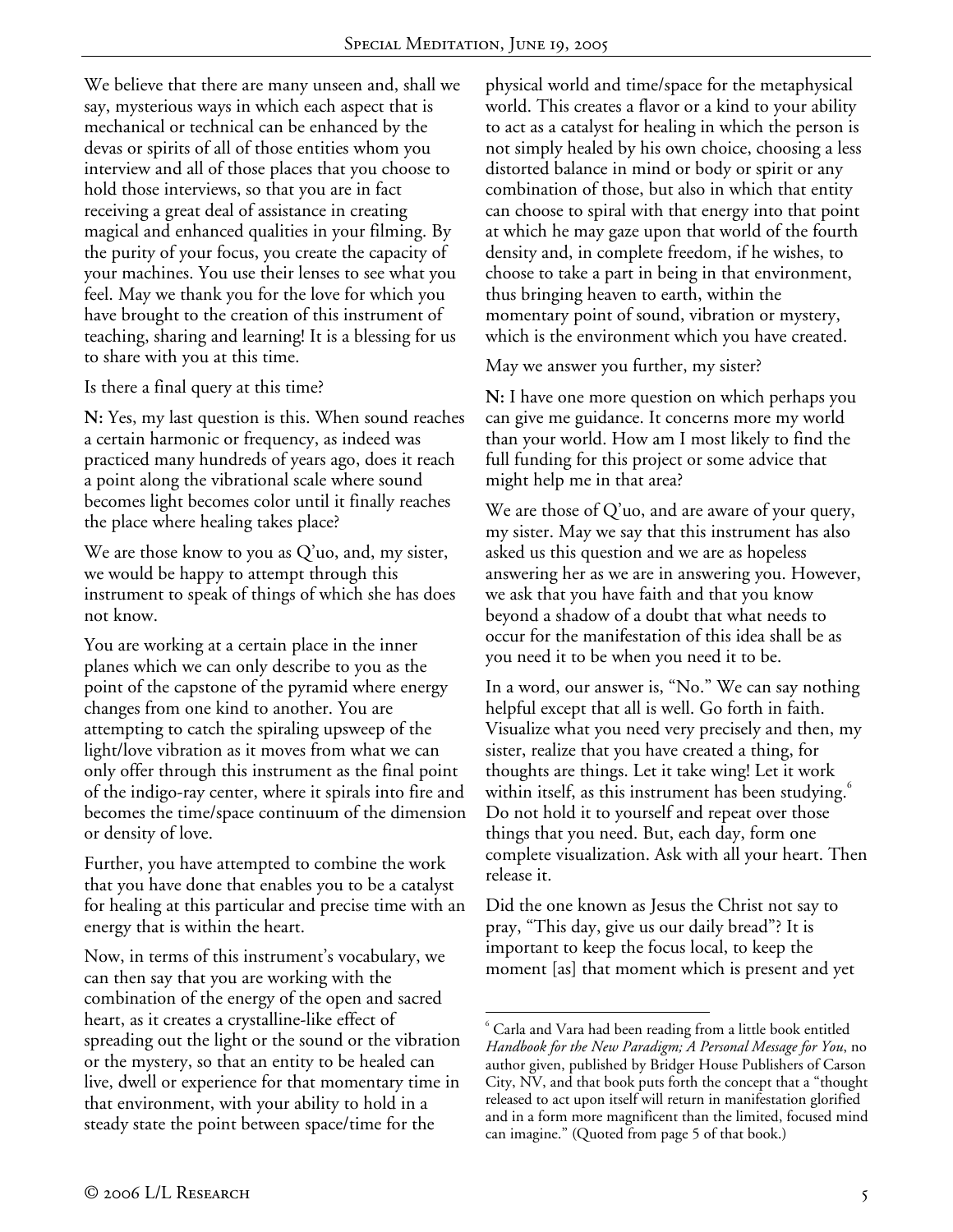We believe that there are many unseen and, shall we say, mysterious ways in which each aspect that is mechanical or technical can be enhanced by the devas or spirits of all of those entities whom you interview and all of those places that you choose to hold those interviews, so that you are in fact receiving a great deal of assistance in creating magical and enhanced qualities in your filming. By the purity of your focus, you create the capacity of your machines. You use their lenses to see what you feel. May we thank you for the love for which you have brought to the creation of this instrument of teaching, sharing and learning! It is a blessing for us to share with you at this time.

Is there a final query at this time?

**N:** Yes, my last question is this. When sound reaches a certain harmonic or frequency, as indeed was practiced many hundreds of years ago, does it reach a point along the vibrational scale where sound becomes light becomes color until it finally reaches the place where healing takes place?

We are those know to you as Q'uo, and, my sister, we would be happy to attempt through this instrument to speak of things of which she has does not know.

You are working at a certain place in the inner planes which we can only describe to you as the point of the capstone of the pyramid where energy changes from one kind to another. You are attempting to catch the spiraling upsweep of the light/love vibration as it moves from what we can only offer through this instrument as the final point of the indigo-ray center, where it spirals into fire and becomes the time/space continuum of the dimension or density of love.

Further, you have attempted to combine the work that you have done that enables you to be a catalyst for healing at this particular and precise time with an energy that is within the heart.

Now, in terms of this instrument's vocabulary, we can then say that you are working with the combination of the energy of the open and sacred heart, as it creates a crystalline-like effect of spreading out the light or the sound or the vibration or the mystery, so that an entity to be healed can live, dwell or experience for that momentary time in that environment, with your ability to hold in a steady state the point between space/time for the

physical world and time/space for the metaphysical world. This creates a flavor or a kind to your ability to act as a catalyst for healing in which the person is not simply healed by his own choice, choosing a less distorted balance in mind or body or spirit or any combination of those, but also in which that entity can choose to spiral with that energy into that point at which he may gaze upon that world of the fourth density and, in complete freedom, if he wishes, to choose to take a part in being in that environment, thus bringing heaven to earth, within the momentary point of sound, vibration or mystery, which is the environment which you have created.

May we answer you further, my sister?

**N:** I have one more question on which perhaps you can give me guidance. It concerns more my world than your world. How am I most likely to find the full funding for this project or some advice that might help me in that area?

We are those of  $Q'$ uo, and are aware of your query, my sister. May we say that this instrument has also asked us this question and we are as hopeless answering her as we are in answering you. However, we ask that you have faith and that you know beyond a shadow of a doubt that what needs to occur for the manifestation of this idea shall be as you need it to be when you need it to be.

In a word, our answer is, "No." We can say nothing helpful except that all is well. Go forth in faith. Visualize what you need very precisely and then, my sister, realize that you have created a thing, for thoughts are things. Let it take wing! Let it work within itself, as this instrument has been studying.<sup>6</sup> Do not hold it to yourself and repeat over those things that you need. But, each day, form one complete visualization. Ask with all your heart. Then release it.

Did the one known as Jesus the Christ not say to pray, "This day, give us our daily bread"? It is important to keep the focus local, to keep the moment [as] that moment which is present and yet

<sup>1</sup> 6 Carla and Vara had been reading from a little book entitled *Handbook for the New Paradigm; A Personal Message for You*, no author given, published by Bridger House Publishers of Carson City, NV, and that book puts forth the concept that a "thought released to act upon itself will return in manifestation glorified and in a form more magnificent than the limited, focused mind can imagine." (Quoted from page 5 of that book.)